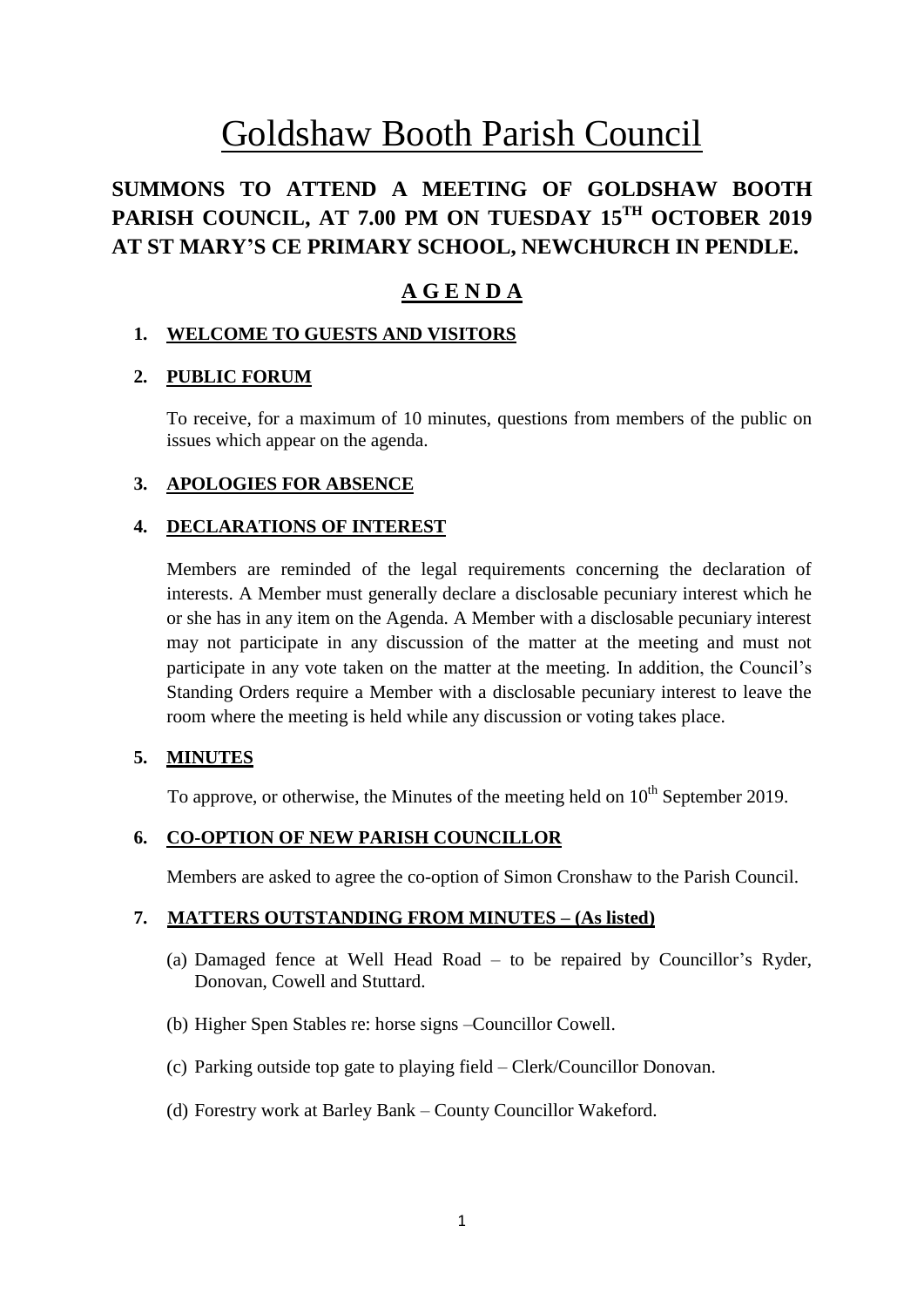# Goldshaw Booth Parish Council

# **SUMMONS TO ATTEND A MEETING OF GOLDSHAW BOOTH PARISH COUNCIL, AT 7.00 PM ON TUESDAY 15 TH OCTOBER 2019 AT ST MARY'S CE PRIMARY SCHOOL, NEWCHURCH IN PENDLE.**

# **A G E N D A**

# **1. WELCOME TO GUESTS AND VISITORS**

# **2. PUBLIC FORUM**

To receive, for a maximum of 10 minutes, questions from members of the public on issues which appear on the agenda.

# **3. APOLOGIES FOR ABSENCE**

# **4. DECLARATIONS OF INTEREST**

Members are reminded of the legal requirements concerning the declaration of interests. A Member must generally declare a disclosable pecuniary interest which he or she has in any item on the Agenda. A Member with a disclosable pecuniary interest may not participate in any discussion of the matter at the meeting and must not participate in any vote taken on the matter at the meeting. In addition, the Council's Standing Orders require a Member with a disclosable pecuniary interest to leave the room where the meeting is held while any discussion or voting takes place.

# **5. MINUTES**

To approve, or otherwise, the Minutes of the meeting held on  $10<sup>th</sup>$  September 2019.

# **6. CO-OPTION OF NEW PARISH COUNCILLOR**

Members are asked to agree the co-option of Simon Cronshaw to the Parish Council.

# **7. MATTERS OUTSTANDING FROM MINUTES – (As listed)**

- (a) Damaged fence at Well Head Road to be repaired by Councillor's Ryder, Donovan, Cowell and Stuttard.
- (b) Higher Spen Stables re: horse signs –Councillor Cowell.
- (c) Parking outside top gate to playing field Clerk/Councillor Donovan.
- (d) Forestry work at Barley Bank County Councillor Wakeford.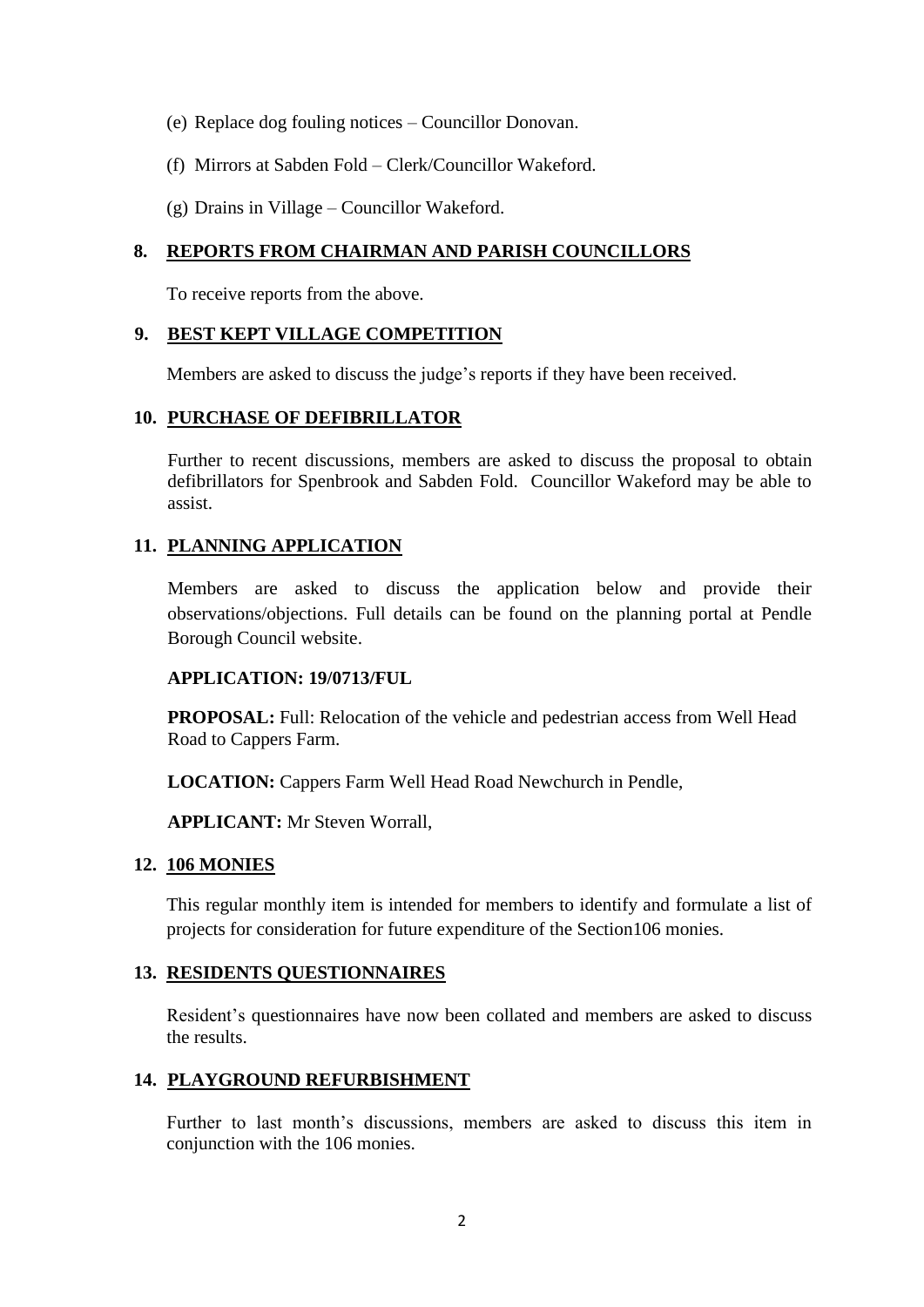- (e) Replace dog fouling notices Councillor Donovan.
- (f) Mirrors at Sabden Fold Clerk/Councillor Wakeford.
- (g) Drains in Village Councillor Wakeford.

#### **8. REPORTS FROM CHAIRMAN AND PARISH COUNCILLORS**

To receive reports from the above.

# **9. BEST KEPT VILLAGE COMPETITION**

Members are asked to discuss the judge's reports if they have been received.

#### **10. PURCHASE OF DEFIBRILLATOR**

Further to recent discussions, members are asked to discuss the proposal to obtain defibrillators for Spenbrook and Sabden Fold. Councillor Wakeford may be able to assist.

# **11. PLANNING APPLICATION**

Members are asked to discuss the application below and provide their observations/objections. Full details can be found on the planning portal at Pendle Borough Council website.

#### **APPLICATION: 19/0713/FUL**

**PROPOSAL:** Full: Relocation of the vehicle and pedestrian access from Well Head Road to Cappers Farm.

**LOCATION:** Cappers Farm Well Head Road Newchurch in Pendle,

**APPLICANT:** Mr Steven Worrall,

#### **12. 106 MONIES**

This regular monthly item is intended for members to identify and formulate a list of projects for consideration for future expenditure of the Section106 monies.

#### **13. RESIDENTS QUESTIONNAIRES**

Resident's questionnaires have now been collated and members are asked to discuss the results.

# **14. PLAYGROUND REFURBISHMENT**

Further to last month's discussions, members are asked to discuss this item in conjunction with the 106 monies.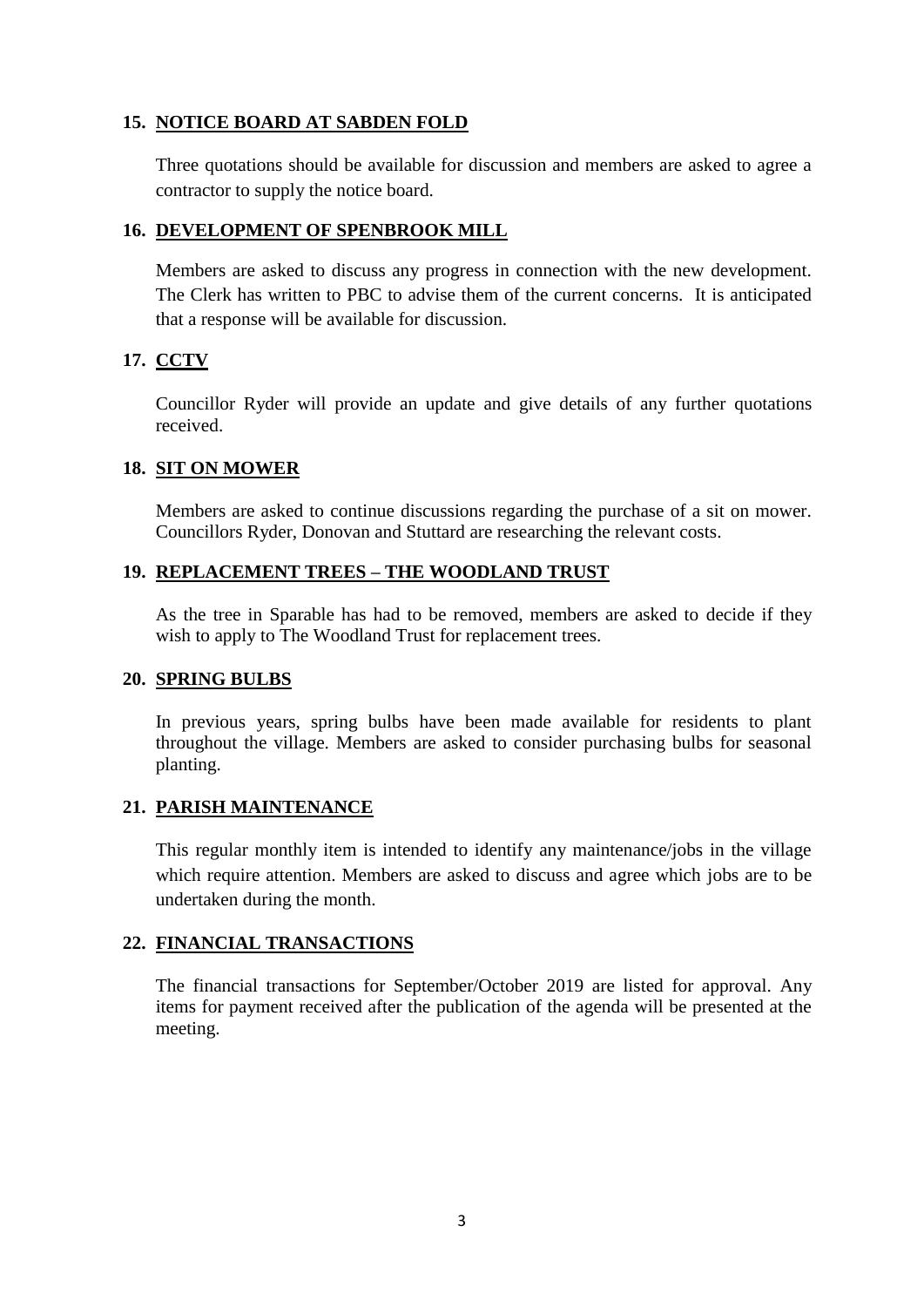# **15. NOTICE BOARD AT SABDEN FOLD**

Three quotations should be available for discussion and members are asked to agree a contractor to supply the notice board.

#### **16. DEVELOPMENT OF SPENBROOK MILL**

Members are asked to discuss any progress in connection with the new development. The Clerk has written to PBC to advise them of the current concerns. It is anticipated that a response will be available for discussion.

#### **17. CCTV**

Councillor Ryder will provide an update and give details of any further quotations received.

#### **18. SIT ON MOWER**

Members are asked to continue discussions regarding the purchase of a sit on mower. Councillors Ryder, Donovan and Stuttard are researching the relevant costs.

#### **19. REPLACEMENT TREES – THE WOODLAND TRUST**

As the tree in Sparable has had to be removed, members are asked to decide if they wish to apply to The Woodland Trust for replacement trees.

#### **20. SPRING BULBS**

In previous years, spring bulbs have been made available for residents to plant throughout the village. Members are asked to consider purchasing bulbs for seasonal planting.

# **21. PARISH MAINTENANCE**

This regular monthly item is intended to identify any maintenance/jobs in the village which require attention. Members are asked to discuss and agree which jobs are to be undertaken during the month.

# **22. FINANCIAL TRANSACTIONS**

The financial transactions for September/October 2019 are listed for approval. Any items for payment received after the publication of the agenda will be presented at the meeting.